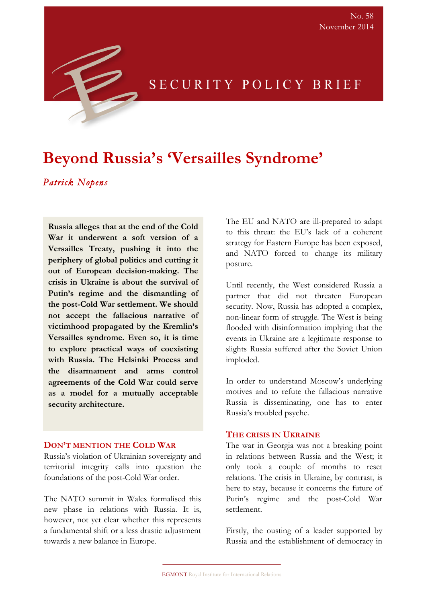# **Beyond Russia's 'Versailles Syndrome'**

# *Patrick Nopens*

**Russia alleges that at the end of the Cold War it underwent a soft version of a Versailles Treaty, pushing it into the periphery of global politics and cutting it out of European decision-making. The crisis in Ukraine is about the survival of Putin's regime and the dismantling of the post-Cold War settlement. We should not accept the fallacious narrative of victimhood propagated by the Kremlin's Versailles syndrome. Even so, it is time to explore practical ways of coexisting with Russia. The Helsinki Process and the disarmament and arms control agreements of the Cold War could serve as a model for a mutually acceptable security architecture.**

#### **DON'T MENTION THE COLD WAR**

Russia's violation of Ukrainian sovereignty and territorial integrity calls into question the foundations of the post-Cold War order.

The NATO summit in Wales formalised this new phase in relations with Russia. It is, however, not yet clear whether this represents a fundamental shift or a less drastic adjustment towards a new balance in Europe.

The EU and NATO are ill-prepared to adapt to this threat: the EU's lack of a coherent strategy for Eastern Europe has been exposed, and NATO forced to change its military posture.

SECURITY POLICY BRIEF

Until recently, the West considered Russia a partner that did not threaten European security. Now, Russia has adopted a complex, non-linear form of struggle. The West is being flooded with disinformation implying that the events in Ukraine are a legitimate response to slights Russia suffered after the Soviet Union imploded.

In order to understand Moscow's underlying motives and to refute the fallacious narrative Russia is disseminating, one has to enter Russia's troubled psyche.

#### **THE CRISIS IN UKRAINE**

The war in Georgia was not a breaking point in relations between Russia and the West; it only took a couple of months to reset relations. The crisis in Ukraine, by contrast, is here to stay, because it concerns the future of Putin's regime and the post-Cold War settlement.

Firstly, the ousting of a leader supported by Russia and the establishment of democracy in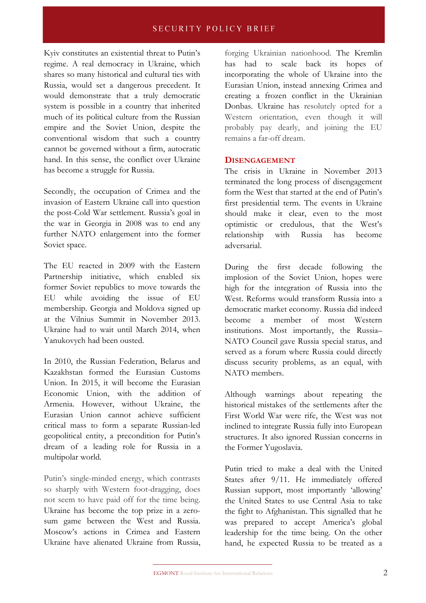## **SECURITY POLICY BRIEF**

Kyiv constitutes an existential threat to Putin's regime. A real democracy in Ukraine, which shares so many historical and cultural ties with Russia, would set a dangerous precedent. It would demonstrate that a truly democratic system is possible in a country that inherited much of its political culture from the Russian empire and the Soviet Union, despite the conventional wisdom that such a country cannot be governed without a firm, autocratic hand. In this sense, the conflict over Ukraine has become a struggle for Russia.

Secondly, the occupation of Crimea and the invasion of Eastern Ukraine call into question the post-Cold War settlement. Russia's goal in the war in Georgia in 2008 was to end any further NATO enlargement into the former Soviet space.

The EU reacted in 2009 with the Eastern Partnership initiative, which enabled six former Soviet republics to move towards the EU while avoiding the issue of EU membership. Georgia and Moldova signed up at the Vilnius Summit in November 2013. Ukraine had to wait until March 2014, when Yanukovych had been ousted.

In 2010, the Russian Federation, Belarus and Kazakhstan formed the Eurasian Customs Union. In 2015, it will become the Eurasian Economic Union, with the addition of Armenia. However, without Ukraine, the Eurasian Union cannot achieve sufficient critical mass to form a separate Russian-led geopolitical entity, a precondition for Putin's dream of a leading role for Russia in a multipolar world.

Putin's single-minded energy, which contrasts so sharply with Western foot-dragging, does not seem to have paid off for the time being. Ukraine has become the top prize in a zerosum game between the West and Russia. Moscow's actions in Crimea and Eastern Ukraine have alienated Ukraine from Russia,

forging Ukrainian nationhood. The Kremlin has had to scale back its hopes of incorporating the whole of Ukraine into the Eurasian Union, instead annexing Crimea and creating a frozen conflict in the Ukrainian Donbas. Ukraine has resolutely opted for a Western orientation, even though it will probably pay dearly, and joining the EU remains a far-off dream.

#### **DISENGAGEMENT**

The crisis in Ukraine in November 2013 terminated the long process of disengagement form the West that started at the end of Putin's first presidential term. The events in Ukraine should make it clear, even to the most optimistic or credulous, that the West's relationship with Russia has become adversarial.

During the first decade following the implosion of the Soviet Union, hopes were high for the integration of Russia into the West. Reforms would transform Russia into a democratic market economy. Russia did indeed become a member of most Western institutions. Most importantly, the Russia– NATO Council gave Russia special status, and served as a forum where Russia could directly discuss security problems, as an equal, with NATO members.

Although warnings about repeating the historical mistakes of the settlements after the First World War were rife, the West was not inclined to integrate Russia fully into European structures. It also ignored Russian concerns in the Former Yugoslavia.

Putin tried to make a deal with the United States after 9/11. He immediately offered Russian support, most importantly 'allowing' the United States to use Central Asia to take the fight to Afghanistan. This signalled that he was prepared to accept America's global leadership for the time being. On the other hand, he expected Russia to be treated as a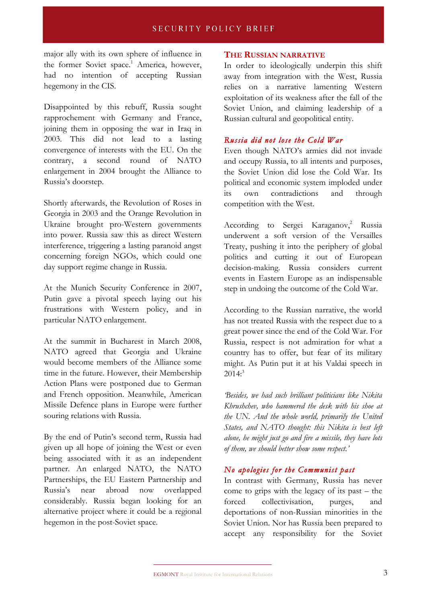major ally with its own sphere of influence in the former Soviet space.<sup>1</sup> America, however, had no intention of accepting Russian hegemony in the CIS.

Disappointed by this rebuff, Russia sought rapprochement with Germany and France, joining them in opposing the war in Iraq in 2003. This did not lead to a lasting convergence of interests with the EU. On the contrary, a second round of NATO enlargement in 2004 brought the Alliance to Russia's doorstep.

Shortly afterwards, the Revolution of Roses in Georgia in 2003 and the Orange Revolution in Ukraine brought pro-Western governments into power. Russia saw this as direct Western interference, triggering a lasting paranoid angst concerning foreign NGOs, which could one day support regime change in Russia.

At the Munich Security Conference in 2007, Putin gave a pivotal speech laying out his frustrations with Western policy, and in particular NATO enlargement.

At the summit in Bucharest in March 2008, NATO agreed that Georgia and Ukraine would become members of the Alliance some time in the future. However, their Membership Action Plans were postponed due to German and French opposition. Meanwhile, American Missile Defence plans in Europe were further souring relations with Russia.

By the end of Putin's second term, Russia had given up all hope of joining the West or even being associated with it as an independent partner. An enlarged NATO, the NATO Partnerships, the EU Eastern Partnership and Russia's near abroad now overlapped considerably. Russia began looking for an alternative project where it could be a regional hegemon in the post-Soviet space.

#### **THE RUSSIAN NARRATIVE**

In order to ideologically underpin this shift away from integration with the West, Russia relies on a narrative lamenting Western exploitation of its weakness after the fall of the Soviet Union, and claiming leadership of a Russian cultural and geopolitical entity.

## *Russia did not lose the Cold War*

Even though NATO's armies did not invade and occupy Russia, to all intents and purposes, the Soviet Union did lose the Cold War. Its political and economic system imploded under its own contradictions and through competition with the West.

According to Sergei Karaganov,<sup>2</sup> Russia underwent a soft version of the Versailles Treaty, pushing it into the periphery of global politics and cutting it out of European decision-making. Russia considers current events in Eastern Europe as an indispensable step in undoing the outcome of the Cold War.

According to the Russian narrative, the world has not treated Russia with the respect due to a great power since the end of the Cold War. For Russia, respect is not admiration for what a country has to offer, but fear of its military might. As Putin put it at his Valdai speech in  $2014<sup>3</sup>$ 

*'Besides, we had such brilliant politicians like Nikita Khrushchev, who hammered the desk with his shoe at the UN. And the whole world, primarily the United States, and NATO thought: this Nikita is best left alone, he might just go and fire a missile, they have lots of them, we should better show some respect.'*

### *No apologies for the Communist past*

In contrast with Germany, Russia has never come to grips with the legacy of its past – the forced collectivisation, purges, and deportations of non-Russian minorities in the Soviet Union. Nor has Russia been prepared to accept any responsibility for the Soviet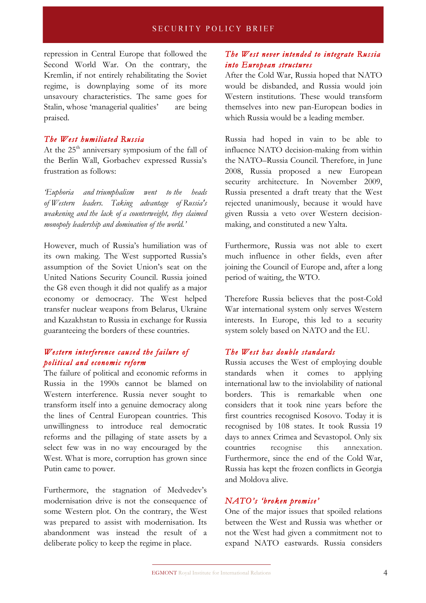repression in Central Europe that followed the Second World War. On the contrary, the Kremlin, if not entirely rehabilitating the Soviet regime, is downplaying some of its more unsavoury characteristics. The same goes for Stalin, whose 'managerial qualities' are being praised.

### *The West humiliated Russia*

At the  $25<sup>th</sup>$  anniversary symposium of the fall of the Berlin Wall, Gorbachev expressed Russia's frustration as follows:

*'Euphoria and triumphalism went to the heads of Western leaders. Taking advantage of Russia's weakening and the lack of a counterweight, they claimed monopoly leadership and domination of the world.'* 

However, much of Russia's humiliation was of its own making. The West supported Russia's assumption of the Soviet Union's seat on the United Nations Security Council. Russia joined the G8 even though it did not qualify as a major economy or democracy. The West helped transfer nuclear weapons from Belarus, Ukraine and Kazakhstan to Russia in exchange for Russia guaranteeing the borders of these countries.

## *Western interference caused the failure of political and economic reform*

The failure of political and economic reforms in Russia in the 1990s cannot be blamed on Western interference. Russia never sought to transform itself into a genuine democracy along the lines of Central European countries. This unwillingness to introduce real democratic reforms and the pillaging of state assets by a select few was in no way encouraged by the West. What is more, corruption has grown since Putin came to power.

Furthermore, the stagnation of Medvedev's modernisation drive is not the consequence of some Western plot. On the contrary, the West was prepared to assist with modernisation. Its abandonment was instead the result of a deliberate policy to keep the regime in place.

## *The West never intended to integrate Russia into European structures*

After the Cold War, Russia hoped that NATO would be disbanded, and Russia would join Western institutions. These would transform themselves into new pan-European bodies in which Russia would be a leading member.

Russia had hoped in vain to be able to influence NATO decision-making from within the NATO–Russia Council. Therefore, in June 2008, Russia proposed a new European security architecture. In November 2009, Russia presented a draft treaty that the West rejected unanimously, because it would have given Russia a veto over Western decisionmaking, and constituted a new Yalta.

Furthermore, Russia was not able to exert much influence in other fields, even after joining the Council of Europe and, after a long period of waiting, the WTO.

Therefore Russia believes that the post-Cold War international system only serves Western interests. In Europe, this led to a security system solely based on NATO and the EU.

### *The West has double standards*

Russia accuses the West of employing double standards when it comes to applying international law to the inviolability of national borders. This is remarkable when one considers that it took nine years before the first countries recognised Kosovo. Today it is recognised by 108 states. It took Russia 19 days to annex Crimea and Sevastopol. Only six countries recognise this annexation. Furthermore, since the end of the Cold War, Russia has kept the frozen conflicts in Georgia and Moldova alive.

### *NATO's 'broken promise'*

One of the major issues that spoiled relations between the West and Russia was whether or not the West had given a commitment not to expand NATO eastwards. Russia considers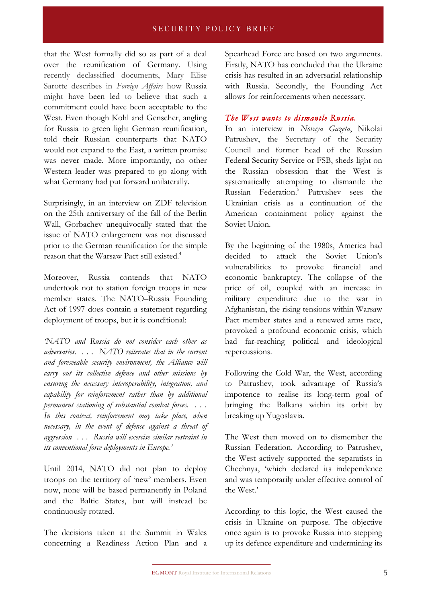that the West formally did so as part of a deal over the reunification of Germany. Using recently declassified documents, Mary Elise Sarotte describes in *Foreign Affairs* how Russia might have been led to believe that such a commitment could have been acceptable to the West. Even though Kohl and Genscher, angling for Russia to green light German reunification, told their Russian counterparts that NATO would not expand to the East, a written promise was never made. More importantly, no other Western leader was prepared to go along with what Germany had put forward unilaterally.

Surprisingly, in an interview on ZDF television on the 25th anniversary of the fall of the Berlin Wall, Gorbachev unequivocally stated that the issue of NATO enlargement was not discussed prior to the German reunification for the simple reason that the Warsaw Pact still existed.4

Moreover, Russia contends that NATO undertook not to station foreign troops in new member states. The NATO–Russia Founding Act of 1997 does contain a statement regarding deployment of troops, but it is conditional:

*'NATO and Russia do not consider each other as adversaries. . . . NATO reiterates that in the current and foreseeable security environment, the Alliance will carry out its collective defence and other missions by ensuring the necessary interoperability, integration, and capability for reinforcement rather than by additional permanent stationing of substantial combat forces. . . . In this context, reinforcement may take place, when necessary, in the event of defence against a threat of aggression . . . Russia will exercise similar restraint in its conventional force deployments in Europe.'*

Until 2014, NATO did not plan to deploy troops on the territory of 'new' members. Even now, none will be based permanently in Poland and the Baltic States, but will instead be continuously rotated.

The decisions taken at the Summit in Wales concerning a Readiness Action Plan and a Spearhead Force are based on two arguments. Firstly, NATO has concluded that the Ukraine crisis has resulted in an adversarial relationship with Russia. Secondly, the Founding Act allows for reinforcements when necessary.

## *The West wants to dismantle Russia.*

In an interview in *Novaya Gazeta*, Nikolai Patrushev, the Secretary of the Security Council and former head of the Russian Federal Security Service or FSB, sheds light on the Russian obsession that the West is systematically attempting to dismantle the Russian Federation.<sup>5</sup> Patrushev sees the Ukrainian crisis as a continuation of the American containment policy against the Soviet Union.

By the beginning of the 1980s, America had decided to attack the Soviet Union's vulnerabilities to provoke financial and economic bankruptcy. The collapse of the price of oil, coupled with an increase in military expenditure due to the war in Afghanistan, the rising tensions within Warsaw Pact member states and a renewed arms race, provoked a profound economic crisis, which had far-reaching political and ideological repercussions.

Following the Cold War, the West, according to Patrushev, took advantage of Russia's impotence to realise its long-term goal of bringing the Balkans within its orbit by breaking up Yugoslavia.

The West then moved on to dismember the Russian Federation. According to Patrushev, the West actively supported the separatists in Chechnya, 'which declared its independence and was temporarily under effective control of the West.'

According to this logic, the West caused the crisis in Ukraine on purpose. The objective once again is to provoke Russia into stepping up its defence expenditure and undermining its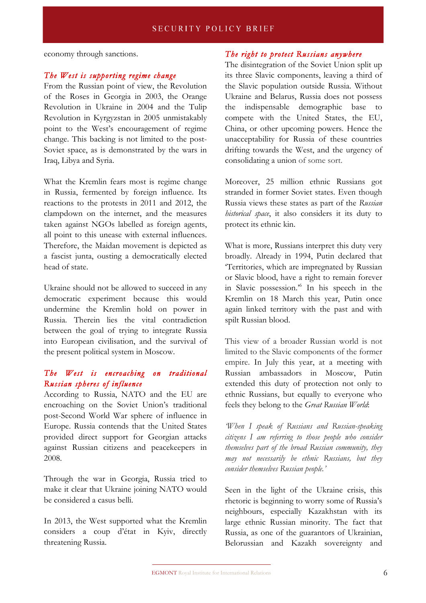economy through sanctions.

#### *The West is supporting regime change*

From the Russian point of view, the Revolution of the Roses in Georgia in 2003, the Orange Revolution in Ukraine in 2004 and the Tulip Revolution in Kyrgyzstan in 2005 unmistakably point to the West's encouragement of regime change. This backing is not limited to the post-Soviet space, as is demonstrated by the wars in Iraq, Libya and Syria.

What the Kremlin fears most is regime change in Russia, fermented by foreign influence. Its reactions to the protests in 2011 and 2012, the clampdown on the internet, and the measures taken against NGOs labelled as foreign agents, all point to this unease with external influences. Therefore, the Maidan movement is depicted as a fascist junta, ousting a democratically elected head of state.

Ukraine should not be allowed to succeed in any democratic experiment because this would undermine the Kremlin hold on power in Russia. Therein lies the vital contradiction between the goal of trying to integrate Russia into European civilisation, and the survival of the present political system in Moscow.

## *The West is encroaching on traditional Russian spheres of influence*

According to Russia, NATO and the EU are encroaching on the Soviet Union's traditional post-Second World War sphere of influence in Europe. Russia contends that the United States provided direct support for Georgian attacks against Russian citizens and peacekeepers in 2008.

Through the war in Georgia, Russia tried to make it clear that Ukraine joining NATO would be considered a casus belli.

In 2013, the West supported what the Kremlin considers a coup d'état in Kyiv, directly threatening Russia.

#### *The right to protect Russians anywhere*

The disintegration of the Soviet Union split up its three Slavic components, leaving a third of the Slavic population outside Russia. Without Ukraine and Belarus, Russia does not possess the indispensable demographic base to compete with the United States, the EU, China, or other upcoming powers. Hence the unacceptability for Russia of these countries drifting towards the West, and the urgency of consolidating a union of some sort.

Moreover, 25 million ethnic Russians got stranded in former Soviet states. Even though Russia views these states as part of the *Russian historical space*, it also considers it its duty to protect its ethnic kin.

What is more, Russians interpret this duty very broadly. Already in 1994, Putin declared that 'Territories, which are impregnated by Russian or Slavic blood, have a right to remain forever in Slavic possession.'6 In his speech in the Kremlin on 18 March this year, Putin once again linked territory with the past and with spilt Russian blood.

This view of a broader Russian world is not limited to the Slavic components of the former empire. In July this year, at a meeting with Russian ambassadors in Moscow, Putin extended this duty of protection not only to ethnic Russians, but equally to everyone who feels they belong to the *Great Russian World*:

*'When I speak of Russians and Russian-speaking citizens I am referring to those people who consider themselves part of the broad Russian community, they may not necessarily be ethnic Russians, but they consider themselves Russian people.'*

Seen in the light of the Ukraine crisis, this rhetoric is beginning to worry some of Russia's neighbours, especially Kazakhstan with its large ethnic Russian minority. The fact that Russia, as one of the guarantors of Ukrainian, Belorussian and Kazakh sovereignty and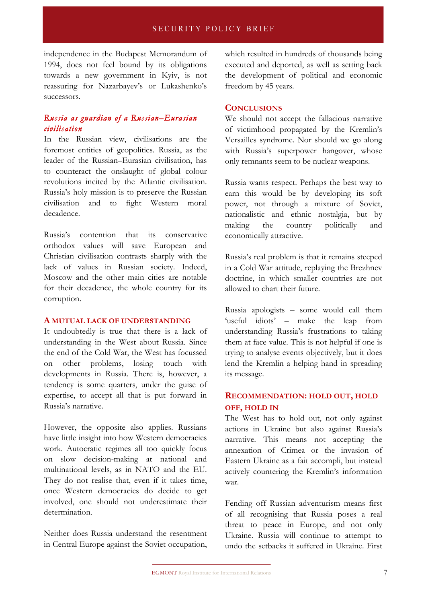independence in the Budapest Memorandum of 1994, does not feel bound by its obligations towards a new government in Kyiv, is not reassuring for Nazarbayev's or Lukashenko's successors.

## *Russia as guardian of a Russian–Eurasian civilisation*

In the Russian view, civilisations are the foremost entities of geopolitics. Russia, as the leader of the Russian–Eurasian civilisation, has to counteract the onslaught of global colour revolutions incited by the Atlantic civilisation. Russia's holy mission is to preserve the Russian civilisation and to fight Western moral decadence.

Russia's contention that its conservative orthodox values will save European and Christian civilisation contrasts sharply with the lack of values in Russian society. Indeed, Moscow and the other main cities are notable for their decadence, the whole country for its corruption.

#### **A MUTUAL LACK OF UNDERSTANDING**

It undoubtedly is true that there is a lack of understanding in the West about Russia. Since the end of the Cold War, the West has focussed on other problems, losing touch with developments in Russia. There is, however, a tendency is some quarters, under the guise of expertise, to accept all that is put forward in Russia's narrative.

However, the opposite also applies. Russians have little insight into how Western democracies work. Autocratic regimes all too quickly focus on slow decision-making at national and multinational levels, as in NATO and the EU. They do not realise that, even if it takes time, once Western democracies do decide to get involved, one should not underestimate their determination.

Neither does Russia understand the resentment in Central Europe against the Soviet occupation, which resulted in hundreds of thousands being executed and deported, as well as setting back the development of political and economic freedom by 45 years.

#### **CONCLUSIONS**

We should not accept the fallacious narrative of victimhood propagated by the Kremlin's Versailles syndrome. Nor should we go along with Russia's superpower hangover, whose only remnants seem to be nuclear weapons.

Russia wants respect. Perhaps the best way to earn this would be by developing its soft power, not through a mixture of Soviet, nationalistic and ethnic nostalgia, but by making the country politically and economically attractive.

Russia's real problem is that it remains steeped in a Cold War attitude, replaying the Brezhnev doctrine, in which smaller countries are not allowed to chart their future.

Russia apologists – some would call them 'useful idiots' – make the leap from understanding Russia's frustrations to taking them at face value. This is not helpful if one is trying to analyse events objectively, but it does lend the Kremlin a helping hand in spreading its message.

## **RECOMMENDATION: HOLD OUT, HOLD OFF, HOLD IN**

The West has to hold out, not only against actions in Ukraine but also against Russia's narrative. This means not accepting the annexation of Crimea or the invasion of Eastern Ukraine as a fait accompli, but instead actively countering the Kremlin's information war.

Fending off Russian adventurism means first of all recognising that Russia poses a real threat to peace in Europe, and not only Ukraine. Russia will continue to attempt to undo the setbacks it suffered in Ukraine. First